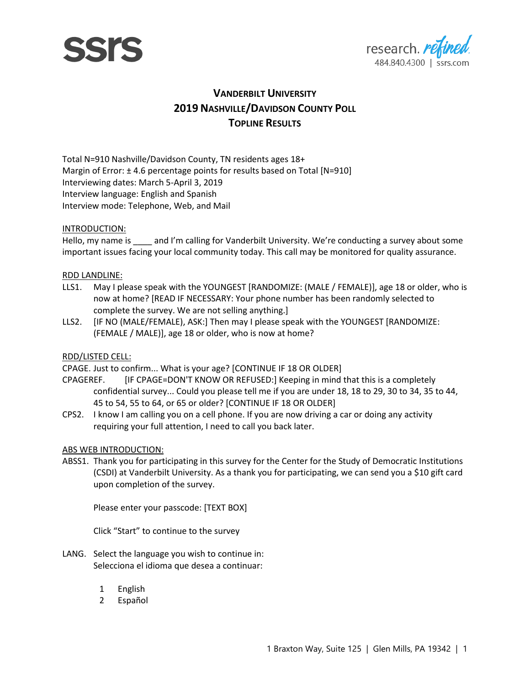



# **VANDERBILT UNIVERSITY 2019 NASHVILLE/DAVIDSON COUNTY POLL TOPLINE RESULTS**

Total N=910 Nashville/Davidson County, TN residents ages 18+ Margin of Error: ± 4.6 percentage points for results based on Total [N=910] Interviewing dates: March 5-April 3, 2019 Interview language: English and Spanish Interview mode: Telephone, Web, and Mail

#### INTRODUCTION:

Hello, my name is and I'm calling for Vanderbilt University. We're conducting a survey about some important issues facing your local community today. This call may be monitored for quality assurance.

#### RDD LANDLINE:

- LLS1. May I please speak with the YOUNGEST [RANDOMIZE: (MALE / FEMALE)], age 18 or older, who is now at home? [READ IF NECESSARY: Your phone number has been randomly selected to complete the survey. We are not selling anything.]
- LLS2. [IF NO (MALE/FEMALE), ASK:] Then may I please speak with the YOUNGEST [RANDOMIZE: (FEMALE / MALE)], age 18 or older, who is now at home?

### RDD/LISTED CELL:

CPAGE. Just to confirm... What is your age? [CONTINUE IF 18 OR OLDER]

CPAGEREF. [IF CPAGE=DON'T KNOW OR REFUSED:] Keeping in mind that this is a completely confidential survey... Could you please tell me if you are under 18, 18 to 29, 30 to 34, 35 to 44, 45 to 54, 55 to 64, or 65 or older? [CONTINUE IF 18 OR OLDER]

CPS2. I know I am calling you on a cell phone. If you are now driving a car or doing any activity requiring your full attention, I need to call you back later.

#### ABS WEB INTRODUCTION:

ABSS1. Thank you for participating in this survey for the Center for the Study of Democratic Institutions (CSDI) at Vanderbilt University. As a thank you for participating, we can send you a \$10 gift card upon completion of the survey.

Please enter your passcode: [TEXT BOX]

Click "Start" to continue to the survey

- LANG. Select the language you wish to continue in: Selecciona el idioma que desea a continuar:
	- 1 English
	- 2 Español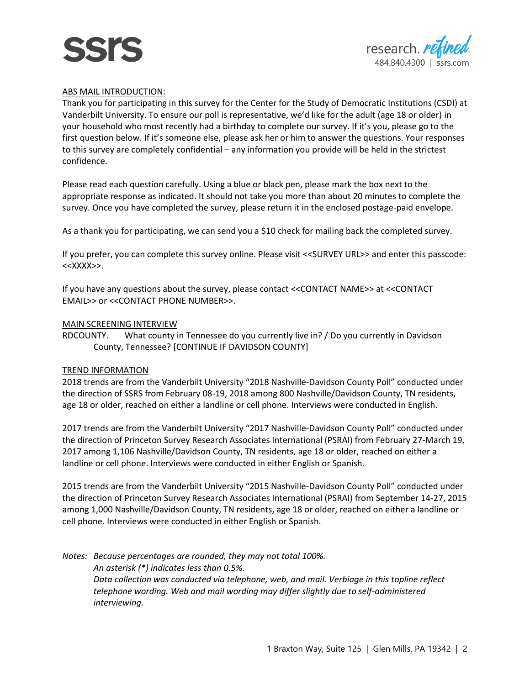



#### ABS MAIL INTRODUCTION:

Thank you for participating in this survey for the Center for the Study of Democratic Institutions (CSDI) at Vanderbilt University. To ensure our poll is representative, we'd like for the adult (age 18 or older) in your household who most recently had a birthday to complete our survey. If it's you, please go to the first question below. If it's someone else, please ask her or him to answer the questions. Your responses to this survey are completely confidential – any information you provide will be held in the strictest confidence.

Please read each question carefully. Using a blue or black pen, please mark the box next to the appropriate response as indicated. It should not take you more than about 20 minutes to complete the survey. Once you have completed the survey, please return it in the enclosed postage-paid envelope.

As a thank you for participating, we can send you a \$10 check for mailing back the completed survey.

If you prefer, you can complete this survey online. Please visit <<SURVEY URL>> and enter this passcode: <<XXXX>>.

If you have any questions about the survey, please contact <<CONTACT NAME>> at <<CONTACT EMAIL>> or <<CONTACT PHONE NUMBER>>.

#### MAIN SCREENING INTERVIEW

RDCOUNTY. What county in Tennessee do you currently live in? / Do you currently in Davidson County, Tennessee? [CONTINUE IF DAVIDSON COUNTY]

#### TREND INFORMATION

2018 trends are from the Vanderbilt University "2018 Nashville-Davidson County Poll" conducted under the direction of SSRS from February 08-19, 2018 among 800 Nashville/Davidson County, TN residents, age 18 or older, reached on either a landline or cell phone. Interviews were conducted in English.

2017 trends are from the Vanderbilt University "2017 Nashville-Davidson County Poll" conducted under the direction of Princeton Survey Research Associates International (PSRAI) from February 27-March 19, 2017 among 1,106 Nashville/Davidson County, TN residents, age 18 or older, reached on either a landline or cell phone. Interviews were conducted in either English or Spanish.

2015 trends are from the Vanderbilt University "2015 Nashville-Davidson County Poll" conducted under the direction of Princeton Survey Research Associates International (PSRAI) from September 14-27, 2015 among 1,000 Nashville/Davidson County, TN residents, age 18 or older, reached on either a landline or cell phone. Interviews were conducted in either English or Spanish.

*Notes: Because percentages are rounded, they may not total 100%. An asterisk (\*) indicates less than 0.5%. Data collection was conducted via telephone, web, and mail. Verbiage in this topline reflect telephone wording. Web and mail wording may differ slightly due to self-administered interviewing.*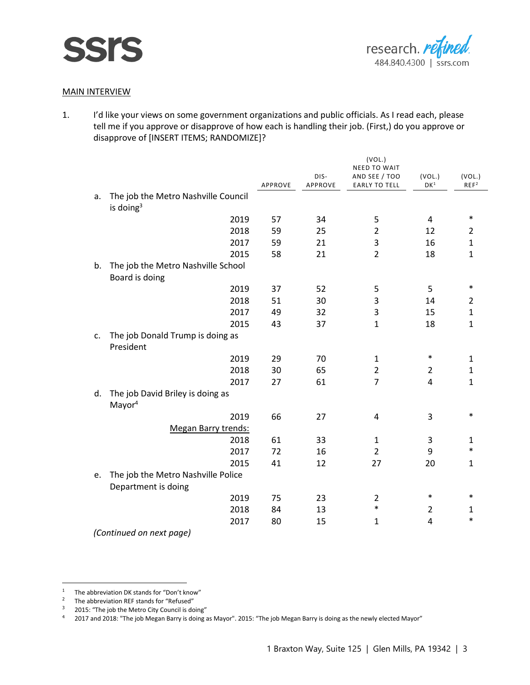



#### MAIN INTERVIEW

1. I'd like your views on some government organizations and public officials. As I read each, please tell me if you approve or disapprove of how each is handling their job. (First,) do you approve or disapprove of [INSERT ITEMS; RANDOMIZE]?

|    |                                     |         |         | (VOL.)<br><b>NEED TO WAIT</b> |                         |                  |
|----|-------------------------------------|---------|---------|-------------------------------|-------------------------|------------------|
|    |                                     |         | DIS-    | AND SEE / TOO                 | (VOL.)                  | (VOL.)           |
|    |                                     | APPROVE | APPROVE | <b>EARLY TO TELL</b>          | $\mathsf{DK}^1$         | REF <sup>2</sup> |
| а. | The job the Metro Nashville Council |         |         |                               |                         |                  |
|    | is doing $3$                        |         |         |                               |                         |                  |
|    | 2019                                | 57      | 34      | 5                             | 4                       | $\ast$           |
|    | 2018                                | 59      | 25      | $\overline{2}$                | 12                      | 2                |
|    | 2017                                | 59      | 21      | 3                             | 16                      | $\mathbf 1$      |
|    | 2015                                | 58      | 21      | $\overline{2}$                | 18                      | $\mathbf{1}$     |
| b. | The job the Metro Nashville School  |         |         |                               |                         |                  |
|    | Board is doing                      |         |         |                               |                         |                  |
|    | 2019                                | 37      | 52      | 5                             | 5                       | $\ast$           |
|    | 2018                                | 51      | 30      | 3                             | 14                      | $\overline{2}$   |
|    | 2017                                | 49      | 32      | 3                             | 15                      | $\mathbf{1}$     |
|    | 2015                                | 43      | 37      | $\mathbf{1}$                  | 18                      | $\mathbf{1}$     |
| c. | The job Donald Trump is doing as    |         |         |                               |                         |                  |
|    | President                           |         |         |                               |                         |                  |
|    | 2019                                | 29      | 70      | $\mathbf{1}$                  | $\ast$                  | $\mathbf{1}$     |
|    | 2018                                | 30      | 65      | $\overline{2}$                | $\overline{2}$          | $\mathbf{1}$     |
|    | 2017                                | 27      | 61      | $\overline{7}$                | 4                       | $\mathbf{1}$     |
| d. | The job David Briley is doing as    |         |         |                               |                         |                  |
|    | Mayor <sup>4</sup>                  |         |         |                               |                         |                  |
|    | 2019                                | 66      | 27      | 4                             | 3                       | $\ast$           |
|    | Megan Barry trends:                 |         |         |                               |                         |                  |
|    | 2018                                | 61      | 33      | $\mathbf{1}$                  | 3                       | $\mathbf{1}$     |
|    | 2017                                | 72      | 16      | $\overline{2}$                | 9                       | $\ast$           |
|    | 2015                                | 41      | 12      | 27                            | 20                      | $\mathbf{1}$     |
| e. | The job the Metro Nashville Police  |         |         |                               |                         |                  |
|    | Department is doing                 |         |         |                               |                         |                  |
|    | 2019                                | 75      | 23      | $\overline{2}$                | $\ast$                  | $\ast$           |
|    | 2018                                | 84      | 13      | $\ast$                        | $\overline{2}$          | 1                |
|    | 2017                                | 80      | 15      | $\mathbf{1}$                  | $\overline{\mathbf{4}}$ | $\ast$           |
|    |                                     |         |         |                               |                         |                  |

*(Continued on next page)*

 $\overline{\phantom{a}}$ 

 $1$  The abbreviation DK stands for "Don't know"

<sup>&</sup>lt;sup>2</sup> The abbreviation REF stands for "Refused"

<sup>3</sup> 2015: "The job the Metro City Council is doing"

<sup>4</sup> 2017 and 2018: "The job Megan Barry is doing as Mayor". 2015: "The job Megan Barry is doing as the newly elected Mayor"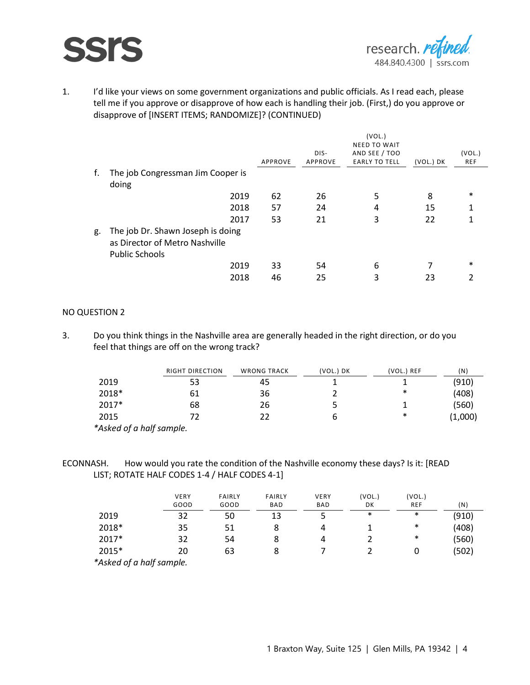



1. I'd like your views on some government organizations and public officials. As I read each, please tell me if you approve or disapprove of how each is handling their job. (First,) do you approve or disapprove of [INSERT ITEMS; RANDOMIZE]? (CONTINUED)

|    |                                                         |      | (VOL.)<br><b>NEED TO WAIT</b> |                |                      |           |            |  |
|----|---------------------------------------------------------|------|-------------------------------|----------------|----------------------|-----------|------------|--|
|    |                                                         |      |                               | DIS-           | AND SEE / TOO        |           | (VOL.)     |  |
|    |                                                         |      | <b>APPROVE</b>                | <b>APPROVE</b> | <b>EARLY TO TELL</b> | (VOL.) DK | <b>REF</b> |  |
| f. | The job Congressman Jim Cooper is<br>doing              |      |                               |                |                      |           |            |  |
|    |                                                         | 2019 | 62                            | 26             | 5                    | 8         | $\ast$     |  |
|    |                                                         | 2018 | 57                            | 24             | 4                    | 15        | 1          |  |
|    |                                                         | 2017 | 53                            | 21             | 3                    | 22        |            |  |
| g. | The job Dr. Shawn Joseph is doing                       |      |                               |                |                      |           |            |  |
|    | as Director of Metro Nashville<br><b>Public Schools</b> |      |                               |                |                      |           |            |  |
|    |                                                         | 2019 | 33                            | 54             | 6                    |           | $\ast$     |  |
|    |                                                         | 2018 | 46                            | 25             | 3                    | 23        |            |  |

# NO QUESTION 2

3. Do you think things in the Nashville area are generally headed in the right direction, or do you feel that things are off on the wrong track?

|          | RIGHT DIRECTION          | <b>WRONG TRACK</b> | DK<br>VUL.I | 'VOL.) REF | N<br>----------------------------- |
|----------|--------------------------|--------------------|-------------|------------|------------------------------------|
|          |                          |                    |             |            |                                    |
|          |                          |                    |             | ж          |                                    |
|          |                          |                    |             |            |                                    |
|          |                          |                    |             | ж          |                                    |
| .<br>. . | $\overline{\phantom{a}}$ |                    |             |            |                                    |

*\*Asked of a half sample.*

ECONNASH. How would you rate the condition of the Nashville economy these days? Is it: [READ LIST; ROTATE HALF CODES 1-4 / HALF CODES 4-1]

|                           | VERY | <b>FAIRLY</b> | <b>FAIRLY</b><br><b>BAD</b> | √ERY |   |    |  |
|---------------------------|------|---------------|-----------------------------|------|---|----|--|
|                           |      |               |                             |      | ж | ₩. |  |
| $2018*$                   |      |               |                             |      |   |    |  |
| フロイブキ                     |      |               |                             |      |   |    |  |
| 7015*                     |      |               |                             |      |   |    |  |
| $*Achod$ of a half cample |      |               |                             |      |   |    |  |

*\*Asked of a half sample.*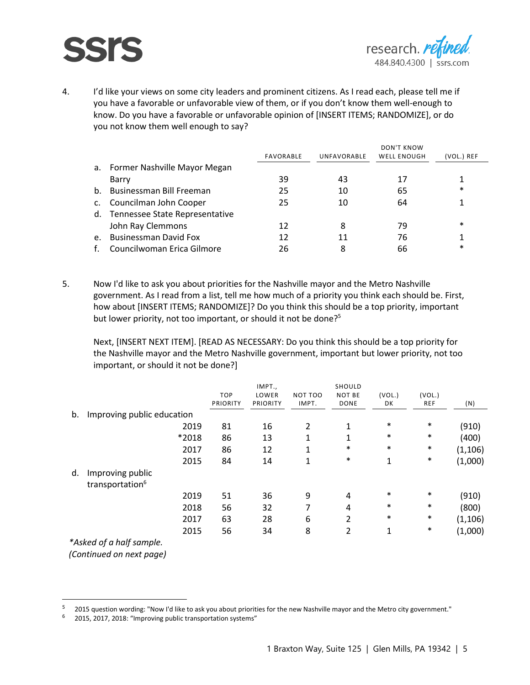



4. I'd like your views on some city leaders and prominent citizens. As I read each, please tell me if you have a favorable or unfavorable view of them, or if you don't know them well-enough to know. Do you have a favorable or unfavorable opinion of [INSERT ITEMS; RANDOMIZE], or do you not know them well enough to say?

|    |                                 |                  |                    | <b>DON'T KNOW</b>  |            |
|----|---------------------------------|------------------|--------------------|--------------------|------------|
|    |                                 | <b>FAVORABLE</b> | <b>UNFAVORABLE</b> | <b>WELL ENOUGH</b> | (VOL.) REF |
|    | a. Former Nashville Mayor Megan |                  |                    |                    |            |
|    | Barry                           | 39               | 43                 |                    |            |
|    | b. Businessman Bill Freeman     | 25               | 10                 | 65                 | $\ast$     |
|    | c. Councilman John Cooper       | 25               |                    | 64                 |            |
| d. | Tennessee State Representative  |                  |                    |                    |            |
|    | John Ray Clemmons               | 12               |                    | 79                 | $\ast$     |
|    | <b>Businessman David Fox</b>    | 12               |                    | 76                 |            |
|    | Councilwoman Erica Gilmore      | 26               |                    | 66                 | *          |

5. Now I'd like to ask you about priorities for the Nashville mayor and the Metro Nashville government. As I read from a list, tell me how much of a priority you think each should be. First, how about [INSERT ITEMS; RANDOMIZE]? Do you think this should be a top priority, important but lower priority, not too important, or should it not be done?<sup>5</sup>

Next, [INSERT NEXT ITEM]. [READ AS NECESSARY: Do you think this should be a top priority for the Nashville mayor and the Metro Nashville government, important but lower priority, not too important, or should it not be done?]

|    |                             |                               | IMPT.,                   |                  | SHOULD                       |              |                      |          |
|----|-----------------------------|-------------------------------|--------------------------|------------------|------------------------------|--------------|----------------------|----------|
|    |                             | <b>TOP</b><br><b>PRIORITY</b> | LOWER<br><b>PRIORITY</b> | NOT TOO<br>IMPT. | <b>NOT BE</b><br><b>DONE</b> | (VOL.)<br>DK | (VOL.)<br><b>REF</b> | (N)      |
| b. | Improving public education  |                               |                          |                  |                              |              |                      |          |
|    | 2019                        | 81                            | 16                       | 2                |                              | $\ast$       | $\ast$               | (910)    |
|    | *2018                       | 86                            | 13                       | 1                |                              | $\ast$       | $\ast$               | (400)    |
|    | 2017                        | 86                            | 12                       | 1                | $\ast$                       | $\ast$       | $\ast$               | (1, 106) |
|    | 2015                        | 84                            | 14                       | 1                | $\ast$                       |              | $\ast$               | (1,000)  |
| d. | Improving public            |                               |                          |                  |                              |              |                      |          |
|    | transportation <sup>6</sup> |                               |                          |                  |                              |              |                      |          |
|    | 2019                        | 51                            | 36                       | 9                | 4                            | $\ast$       | $\ast$               | (910)    |
|    | 2018                        | 56                            | 32                       | ⇁                | 4                            | $\ast$       | $\ast$               | (800)    |
|    | 2017                        | 63                            | 28                       | 6                | $\mathfrak{p}$               | $\ast$       | $\ast$               | (1, 106) |
|    | 2015                        | 56                            | 34                       | 8                | $\overline{2}$               | 1            | $\ast$               | (1,000)  |
|    | .                           |                               |                          |                  |                              |              |                      |          |

*\*Asked of a half sample.*

 $\overline{a}$ 

 *(Continued on next page)*

<sup>5 2015</sup> question wording: "Now I'd like to ask you about priorities for the new Nashville mayor and the Metro city government."<br>6 2015 2017 2018: "Improving public transportation systems"

<sup>2015, 2017, 2018: &</sup>quot;Improving public transportation systems"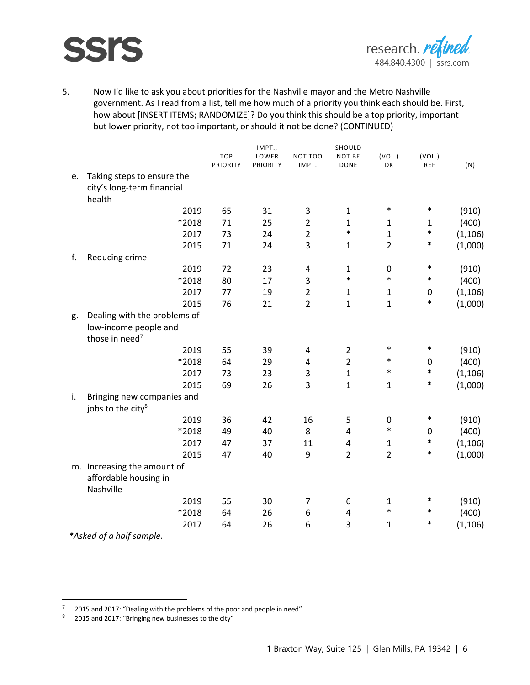



5. Now I'd like to ask you about priorities for the Nashville mayor and the Metro Nashville government. As I read from a list, tell me how much of a priority you think each should be. First, how about [INSERT ITEMS; RANDOMIZE]? Do you think this should be a top priority, important but lower priority, not too important, or should it not be done? (CONTINUED)

|    |                                 | TOP      | IMPT.,<br>LOWER | NOT TOO        | SHOULD<br><b>NOT BE</b> | (VOL.)           | (VOL.)       |          |
|----|---------------------------------|----------|-----------------|----------------|-------------------------|------------------|--------------|----------|
|    |                                 | PRIORITY | PRIORITY        | IMPT.          | DONE                    | DK               | <b>REF</b>   | (N)      |
| e. | Taking steps to ensure the      |          |                 |                |                         |                  |              |          |
|    | city's long-term financial      |          |                 |                |                         |                  |              |          |
|    | health                          |          |                 |                |                         |                  |              |          |
|    | 2019                            | 65       | 31              | 3              | 1                       | $\ast$           | $\ast$       | (910)    |
|    | *2018                           | 71       | 25              | $\overline{2}$ | $\mathbf{1}$            | $\mathbf{1}$     | $\mathbf{1}$ | (400)    |
|    | 2017                            | 73       | 24              | $\overline{2}$ | $\ast$                  | $\mathbf{1}$     | $\ast$       | (1, 106) |
|    | 2015                            | 71       | 24              | 3              | $\mathbf{1}$            | $\overline{2}$   | $\ast$       | (1,000)  |
| f. | Reducing crime                  |          |                 |                |                         |                  |              |          |
|    | 2019                            | 72       | 23              | 4              | 1                       | $\boldsymbol{0}$ | $\ast$       | (910)    |
|    | *2018                           | 80       | 17              | 3              | $\ast$                  | $\ast$           | $\ast$       | (400)    |
|    | 2017                            | 77       | 19              | $\overline{2}$ | 1                       | $\mathbf{1}$     | 0            | (1, 106) |
|    | 2015                            | 76       | 21              | $\overline{2}$ | $\mathbf{1}$            | $\mathbf{1}$     | $\ast$       | (1,000)  |
| g. | Dealing with the problems of    |          |                 |                |                         |                  |              |          |
|    | low-income people and           |          |                 |                |                         |                  |              |          |
|    | those in need <sup>7</sup>      |          |                 |                |                         |                  |              |          |
|    | 2019                            | 55       | 39              | 4              | $\overline{2}$          | $\ast$           | $\ast$       | (910)    |
|    | *2018                           | 64       | 29              | $\overline{4}$ | $\overline{2}$          | $\ast$           | 0            | (400)    |
|    | 2017                            | 73       | 23              | 3              | $\mathbf{1}$            | $\ast$           | $\ast$       | (1, 106) |
|    | 2015                            | 69       | 26              | 3              | $\mathbf{1}$            | $\mathbf{1}$     | $\ast$       | (1,000)  |
| i. | Bringing new companies and      |          |                 |                |                         |                  |              |          |
|    | jobs to the city <sup>8</sup>   |          |                 |                |                         |                  |              |          |
|    | 2019                            | 36       | 42              | 16             | 5                       | $\pmb{0}$        | $\ast$       | (910)    |
|    | *2018                           | 49       | 40              | 8              | $\overline{4}$          | $\ast$           | 0            | (400)    |
|    | 2017                            | 47       | 37              | 11             | $\pmb{4}$               | $\mathbf 1$      | $\ast$       | (1, 106) |
|    | 2015                            | 47       | 40              | 9              | $\overline{2}$          | $\overline{2}$   | $\ast$       | (1,000)  |
|    | m. Increasing the amount of     |          |                 |                |                         |                  |              |          |
|    | affordable housing in           |          |                 |                |                         |                  |              |          |
|    | Nashville                       |          |                 |                |                         |                  |              |          |
|    | 2019                            | 55       | 30              | 7              | 6                       | $\mathbf{1}$     | $\ast$       | (910)    |
|    | *2018                           | 64       | 26              | 6              | 4                       | $\ast$           | $\ast$       | (400)    |
|    | 2017                            | 64       | 26              | 6              | 3                       | $\mathbf{1}$     | $\ast$       | (1, 106) |
|    | $*$ Andread of a boulf approach |          |                 |                |                         |                  |              |          |

*\*Asked of a half sample.*

 $\overline{a}$ 

<sup>7 2015</sup> and 2017: "Dealing with the problems of the poor and people in need"<br>8 2015 and 2017: "Bringing new businesses to the city"

<sup>2015</sup> and 2017: "Bringing new businesses to the city"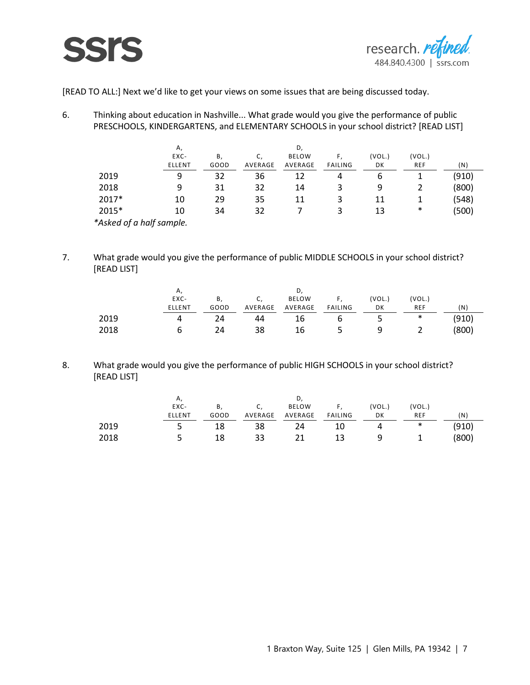



[READ TO ALL:] Next we'd like to get your views on some issues that are being discussed today.

6. Thinking about education in Nashville... What grade would you give the performance of public PRESCHOOLS, KINDERGARTENS, and ELEMENTARY SCHOOLS in your school district? [READ LIST]

|                                | A                                        |                                   |                                               | D.                                    |                                       |                               |                                |                                   |
|--------------------------------|------------------------------------------|-----------------------------------|-----------------------------------------------|---------------------------------------|---------------------------------------|-------------------------------|--------------------------------|-----------------------------------|
|                                | EXC-                                     | В                                 |                                               | <b>BELOW</b>                          |                                       | VOL.                          | 'VOL.)                         |                                   |
|                                | <b>FIIFNT</b><br>----------------------- | חמר<br>,,,,,,,,,,,,,,,,,,,,,,,,,, | <b>ERAGE</b><br>AV<br>----------------------- | AVERAGE<br>,,,,,,,,,,,,,,,,,,,,,,,,,, | FAILING<br>,,,,,,,,,,,,,,,,,,,,,,,,,, | DK<br>----------------------- | REF<br>----------------------- | (N<br>--------------------------- |
| 2019                           |                                          |                                   | 36                                            |                                       |                                       |                               |                                |                                   |
| 2018                           |                                          |                                   | วว                                            | 14                                    |                                       |                               |                                |                                   |
| $7017*$                        |                                          | 29                                | 35                                            |                                       |                                       |                               |                                |                                   |
| パリコ にき                         |                                          |                                   |                                               |                                       |                                       |                               | ∗                              |                                   |
| ملوموموم كالمطيم كملوم المصامة |                                          |                                   |                                               |                                       |                                       |                               |                                |                                   |

*\*Asked of a half sample.*

7. What grade would you give the performance of public MIDDLE SCHOOLS in your school district? [READ LIST]

|      | Α.                               |                              | D                                 |              |         |        |            |     |
|------|----------------------------------|------------------------------|-----------------------------------|--------------|---------|--------|------------|-----|
|      | EXC-                             | в                            | J.                                | <b>BELOW</b> |         | (VOL.) | (VOL.)     |     |
|      | ELLENT<br>---------------------- | GOOD<br>-------------------- | AVERAGE<br>---------------------- | AVERAGE      | FAILING | DK     | <b>REF</b> | (N) |
| 2019 |                                  |                              |                                   | h            | n       |        | ∗          |     |
|      | h                                |                              | 38                                | l h          |         | q      |            |     |

8. What grade would you give the performance of public HIGH SCHOOLS in your school district? [READ LIST]

|      | Α.            |      |         | υ            |         |        |        |     |
|------|---------------|------|---------|--------------|---------|--------|--------|-----|
|      | EXC-          |      | J.      | <b>BELOW</b> |         | (VOL.) | (VOL.) |     |
|      | <b>ELLENT</b> | GOOD | AVERAGE | AVERAGE      | FAILING | DK     | REF    | (N) |
| 2019 |               |      |         |              |         |        | ∗      |     |
| 2018 |               |      |         |              |         | ч      |        |     |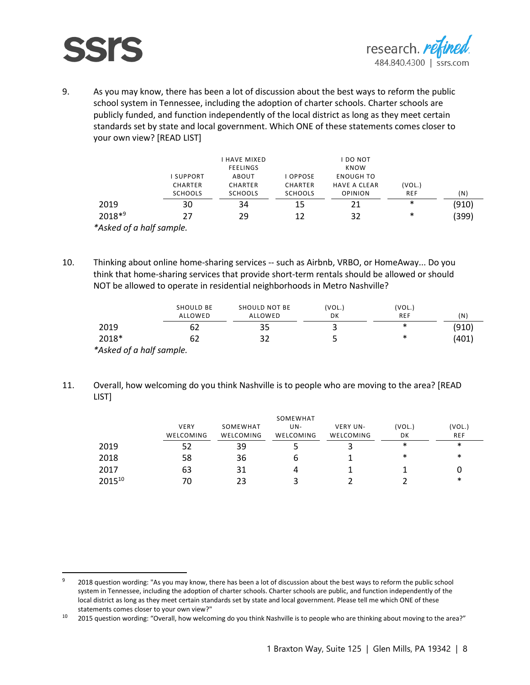



9. As you may know, there has been a lot of discussion about the best ways to reform the public school system in Tennessee, including the adoption of charter schools. Charter schools are publicly funded, and function independently of the local district as long as they meet certain standards set by state and local government. Which ONE of these statements comes closer to your own view? [READ LIST]

|                    |                | <b>HAVE MIXED</b> |                | DO NOT                               |                                                 |                             |
|--------------------|----------------|-------------------|----------------|--------------------------------------|-------------------------------------------------|-----------------------------|
|                    |                | <b>FEELINGS</b>   |                | KNOW                                 |                                                 |                             |
|                    | SUPPORT        | ABOUT             | I OPPOSE       | <b>ENOUGH TO</b>                     |                                                 |                             |
|                    | CHARTER        | <b>CHARTER</b>    | CHARTER        | HAVE A CLEAR                         | VOL.                                            |                             |
|                    | <b>SCHOOLS</b> | <b>SCHOOLS</b>    | <b>SCHOOLS</b> | <b>OPINION</b>                       | <b>REF</b><br>--------------------------------- | (N)                         |
| 2019               |                | <br>34            |                | ------------------------------------ | ∗                                               | --------------------------- |
| 2018* <sup>9</sup> |                | 29                |                |                                      | *                                               |                             |
| *********          |                |                   |                |                                      |                                                 |                             |

*\*Asked of a half sample.*

10. Thinking about online home-sharing services -- such as Airbnb, VRBO, or HomeAway... Do you think that home-sharing services that provide short-term rentals should be allowed or should NOT be allowed to operate in residential neighborhoods in Metro Nashville?

|                          | SHOULD BE | SHOULD NOT BE | (VOL.) | (VOL.)     |      |
|--------------------------|-----------|---------------|--------|------------|------|
|                          | ALLOWED   | ALLOWED       | DK     | <b>REF</b> | ſΝ.  |
| 2019                     |           |               |        | ∗          |      |
| 2018*                    |           |               |        | ∗          | د40′ |
| *Asked of a half sample. |           |               |        |            |      |

11. Overall, how welcoming do you think Nashville is to people who are moving to the area? [READ LIST]

|             |                          |                       | SOMEWHAT         |                              |            |                    |
|-------------|--------------------------|-----------------------|------------------|------------------------------|------------|--------------------|
|             | <b>VERY</b><br>WELCOMING | SOMEWHAT<br>WELCOMING | UN-<br>WELCOMING | <b>VERY UN-</b><br>WELCOMING | VOL.<br>DK | VOL.<br><b>REF</b> |
| 2019        |                          |                       |                  |                              |            | ж                  |
| 2018        |                          | 36                    |                  |                              | $\ast$     | ∗                  |
| 2017        |                          |                       |                  |                              |            |                    |
| $2015^{10}$ |                          |                       |                  |                              |            | ∗                  |

 $\overline{a}$ <sup>9</sup> 2018 question wording: "As you may know, there has been a lot of discussion about the best ways to reform the public school system in Tennessee, including the adoption of charter schools. Charter schools are public, and function independently of the local district as long as they meet certain standards set by state and local government. Please tell me which ONE of these statements comes closer to your own view?"

<sup>&</sup>lt;sup>10</sup> 2015 question wording: "Overall, how welcoming do you think Nashville is to people who are thinking about moving to the area?"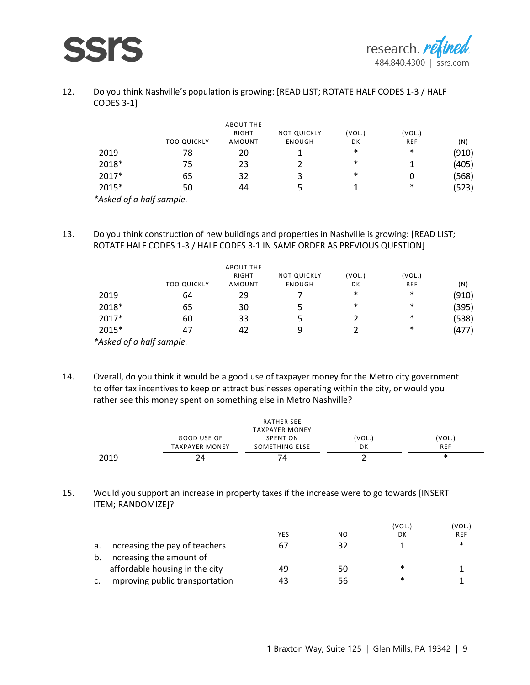



12. Do you think Nashville's population is growing: [READ LIST; ROTATE HALF CODES 1-3 / HALF CODES 3-1]

|       | <b>TOO QUICKLY</b> | <b>ABOUT THE</b><br>RIGHT<br><b>JNT</b> | NOT QUICKLY<br>ENOUGH | VUL.<br>DK |   |  |
|-------|--------------------|-----------------------------------------|-----------------------|------------|---|--|
| 2019  |                    |                                         |                       | ∗          | ∗ |  |
| 2018* |                    |                                         |                       | ∗          |   |  |
| 7017* |                    |                                         |                       | ∗          |   |  |
| 2015* |                    |                                         |                       |            | * |  |
|       |                    |                                         |                       |            |   |  |

*\*Asked of a half sample.*

13. Do you think construction of new buildings and properties in Nashville is growing: [READ LIST; ROTATE HALF CODES 1-3 / HALF CODES 3-1 IN SAME ORDER AS PREVIOUS QUESTION]

|       | TOO QUICKLY | <b>ABOUT THE</b><br>RIGHT<br>AMOUNT | <b>NOT QUICKLY</b><br><b>ENOUGH</b> | VOL.<br>Dκ | <b>REF</b>                                  | N                           |
|-------|-------------|-------------------------------------|-------------------------------------|------------|---------------------------------------------|-----------------------------|
| 2019  |             |                                     |                                     | ×          | --------------------------------------<br>ж | --------------------------- |
| 2018* |             |                                     |                                     | *          | ж                                           |                             |
| 2017* |             |                                     |                                     |            | ж                                           |                             |
| 2015* |             |                                     |                                     |            | ∗                                           |                             |
| .     |             |                                     |                                     |            |                                             |                             |

*\*Asked of a half sample.*

14. Overall, do you think it would be a good use of taxpayer money for the Metro city government to offer tax incentives to keep or attract businesses operating within the city, or would you rather see this money spent on something else in Metro Nashville?

|      |                       | RATHER SEE<br><b>TAXPAYER MONEY</b> |       |       |
|------|-----------------------|-------------------------------------|-------|-------|
|      | GOOD USE OF           | SPENT ON                            | 'VOL. | 'VOL. |
|      | <b>TAXPAYER MONEY</b> | SOMETHING ELSE                      | DK    | REF   |
| 2019 |                       |                                     |       | *     |

15. Would you support an increase in property taxes if the increase were to go towards [INSERT ITEM; RANDOMIZE]?

|                |                                 |     |    | (VOL.) | VOL.       |
|----------------|---------------------------------|-----|----|--------|------------|
|                |                                 | YES | NΟ | DK     | <b>REF</b> |
| а.             | Increasing the pay of teachers  |     |    |        | ∗          |
| b.             | Increasing the amount of        |     |    |        |            |
|                | affordable housing in the city  | 49  |    | ∗      |            |
| $\mathsf{c}$ . | Improving public transportation |     |    | ∗      |            |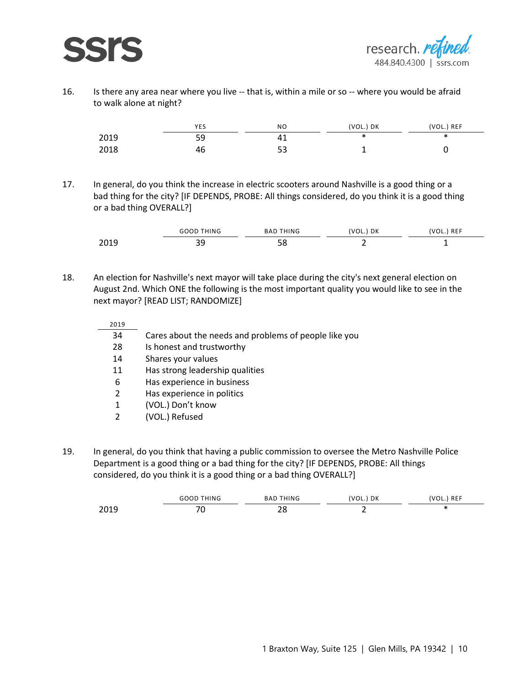



16. Is there any area near where you live -- that is, within a mile or so -- where you would be afraid to walk alone at night?

|          | $\sim$ $\sim$<br><u>. .</u> | ΝC | DK<br>VUL.I | , REF<br>UL. |
|----------|-----------------------------|----|-------------|--------------|
| ----     |                             |    |             |              |
| ᅚ<br>LV. |                             |    |             |              |

17. In general, do you think the increase in electric scooters around Nashville is a good thing or a bad thing for the city? [IF DEPENDS, PROBE: All things considered, do you think it is a good thing or a bad thing OVERALL?]

|     | ัHING<br>h. | ING | M<br>υĸ | <b>NET</b><br>---<br>$\sim$ $\sim$ $\sim$ |
|-----|-------------|-----|---------|-------------------------------------------|
| - - |             | --  | -       |                                           |

18. An election for Nashville's next mayor will take place during the city's next general election on August 2nd. Which ONE the following is the most important quality you would like to see in the next mayor? [READ LIST; RANDOMIZE]

#### 2019

- 34 Cares about the needs and problems of people like you
- 28 Is honest and trustworthy
- 14 Shares your values
- 11 Has strong leadership qualities
- 6 Has experience in business
- 2 Has experience in politics
- 1 (VOL.) Don't know
- 2 (VOL.) Refused
- 19. In general, do you think that having a public commission to oversee the Metro Nashville Police Department is a good thing or a bad thing for the city? [IF DEPENDS, PROBE: All things considered, do you think it is a good thing or a bad thing OVERALL?]

|                     | THING<br>GOOD | HING<br>BAD | DK<br>ิ∪ ∟. ≀ | DEE<br>M<br>.<br>ັ |
|---------------------|---------------|-------------|---------------|--------------------|
| ີ 201.<br>◡<br>2010 | - -           |             |               |                    |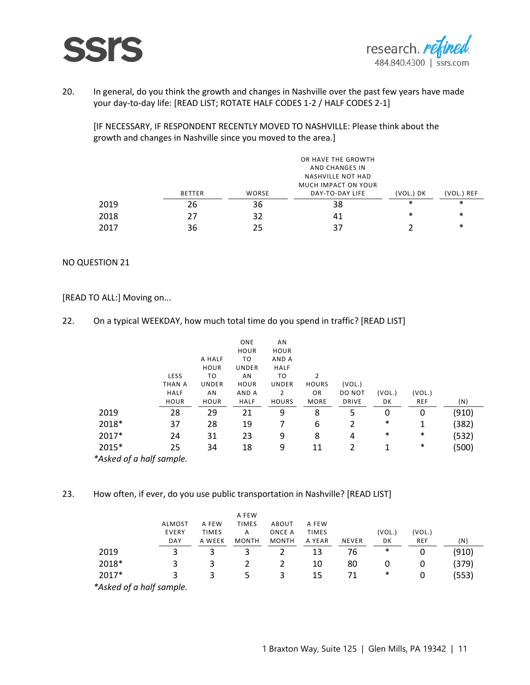



20. In general, do you think the growth and changes in Nashville over the past few years have made your day-to-day life: [READ LIST; ROTATE HALF CODES 1-2 / HALF CODES 2-1]

[IF NECESSARY, IF RESPONDENT RECENTLY MOVED TO NASHVILLE: Please think about the growth and changes in Nashville since you moved to the area.]

|      | <b>BETTER</b> | WORSE | OR HAVE THE GROWTH<br>AND CHANGES IN<br>NASHVILLE NOT HAD<br>MUCH IMPACT ON YOUR<br>DAY-TO-DAY LIFE | DK                                   | REF                                 |
|------|---------------|-------|-----------------------------------------------------------------------------------------------------|--------------------------------------|-------------------------------------|
| 2019 |               |       |                                                                                                     | -------------------------------<br>∗ | ------------------------------<br>∗ |
| 2018 |               |       |                                                                                                     | ж                                    | ∗                                   |
|      |               |       |                                                                                                     |                                      | ∗                                   |

#### NO QUESTION 21

[READ TO ALL:] Moving on...

#### 22. On a typical WEEKDAY, how much total time do you spend in traffic? [READ LIST]

|                          |             | A HALF<br><b>HOUR</b> | ONE<br><b>HOUR</b><br>то<br><b>UNDER</b> | AN<br><b>HOUR</b><br>AND A |                |              |        |            |       |
|--------------------------|-------------|-----------------------|------------------------------------------|----------------------------|----------------|--------------|--------|------------|-------|
|                          | LESS        | то                    | AN                                       | <b>HALF</b><br>то          | $\overline{2}$ |              |        |            |       |
|                          | THAN A      | <b>UNDER</b>          | <b>HOUR</b>                              | <b>UNDER</b>               | <b>HOURS</b>   | (VOL.)       |        |            |       |
|                          | <b>HALF</b> | AN                    | AND A                                    | 2                          | OR.            | DO NOT       | (VOL.) | (VOL.)     |       |
|                          | <b>HOUR</b> | <b>HOUR</b>           | <b>HALF</b>                              | <b>HOURS</b>               | <b>MORE</b>    | <b>DRIVE</b> | DK     | <b>REF</b> | (N)   |
| 2019                     | 28          | 29                    | 21                                       | 9                          | 8              | 5            | 0      | 0          | (910) |
| 2018*                    | 37          | 28                    | 19                                       |                            | 6              | 2            | $\ast$ | 1          | (382) |
| 2017*                    | 24          | 31                    | 23                                       | 9                          | 8              | 4            | $\ast$ | $\ast$     | (532) |
| 2015*                    | 25          | 34                    | 18                                       | 9                          | 11             | 2            |        | $\ast$     | (500) |
| *Asked of a half sample. |             |                       |                                          |                            |                |              |        |            |       |

23. How often, if ever, do you use public transportation in Nashville? [READ LIST]

|                          |                                     |                             | A FEW                         |                                     |                                |                                     |                            |                           |    |
|--------------------------|-------------------------------------|-----------------------------|-------------------------------|-------------------------------------|--------------------------------|-------------------------------------|----------------------------|---------------------------|----|
|                          | ALMOST                              | A FEW                       | <b>TIMES</b>                  | ABOUT                               | A FEW                          |                                     |                            |                           |    |
|                          | EVERY                               | <b>TIMES</b>                | Α                             | ONCE A                              | <b>TIMES</b>                   |                                     | VOL.                       |                           |    |
|                          | <b>DAY</b><br>--------------------- | WEEK<br>------------------- | MONTH<br>-------------------- | <b>MONTH</b><br>------------------- | A YEAR<br>-------------------- | <b>NEVER</b><br>------------------- | DK<br>-------------------- | REF<br>------------------ | 'N |
| 2019                     |                                     |                             |                               |                                     |                                | /b                                  | ∗                          |                           |    |
| 7018*                    |                                     |                             |                               |                                     | 10                             | 80                                  |                            |                           |    |
| 2017*                    |                                     |                             |                               |                                     |                                |                                     | ∗                          |                           |    |
| k soliadaf a halfannanla |                                     |                             |                               |                                     |                                |                                     |                            |                           |    |

*\*Asked of a half sample.*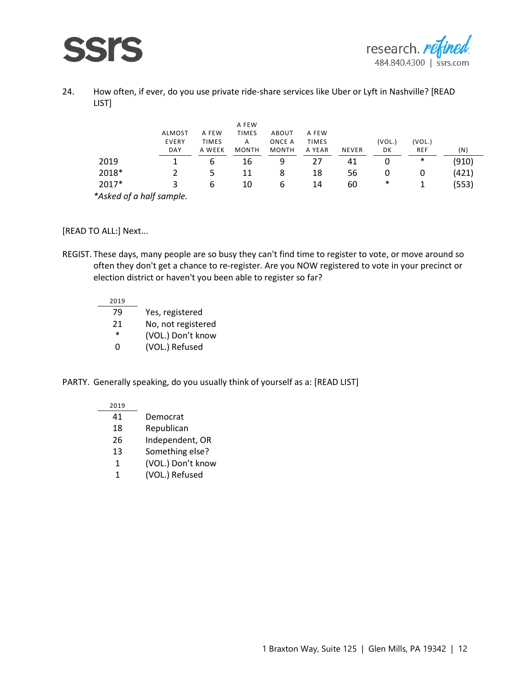# **SSIS**



24. How often, if ever, do you use private ride-share services like Uber or Lyft in Nashville? [READ LIST]

|         |                               |                               | A FEW                                |                                     |                              |                                    |                           |                                   |       |
|---------|-------------------------------|-------------------------------|--------------------------------------|-------------------------------------|------------------------------|------------------------------------|---------------------------|-----------------------------------|-------|
|         | ALMOST                        | A FEW                         | <b>TIMES</b>                         | ABOUT                               | A FEW                        |                                    |                           |                                   |       |
|         | <b>EVERY</b>                  | <b>TIMES</b>                  | A                                    | ONCE A                              | <b>TIMES</b>                 |                                    | (VOL.)                    | (VOL.)                            |       |
|         | DAY<br>---------------------- | A WEEK<br>------------------- | <b>MONTH</b><br>-------------------- | <b>MONTH</b><br>------------------- | A YEAR<br>------------------ | <b>NEVER</b><br>------------------ | DK<br>------------------- | <b>REF</b><br>------------------- | (N)   |
| 2019    |                               | n                             | 16                                   | 9                                   |                              |                                    |                           | ∗                                 |       |
| 2018*   |                               |                               | 11                                   | 8                                   | 18                           | 56                                 |                           |                                   | (421، |
| $2017*$ |                               | b                             | 10                                   | ь                                   | 14                           | 60                                 | ∗                         |                                   | 553   |
| $*A$    |                               |                               |                                      |                                     |                              |                                    |                           |                                   |       |

*\*Asked of a half sample.*

# [READ TO ALL:] Next...

- REGIST. These days, many people are so busy they can't find time to register to vote, or move around so often they don't get a chance to re-register. Are you NOW registered to vote in your precinct or election district or haven't you been able to register so far?
	- 2019 79 Yes, registered 21 No, not registered \* (VOL.) Don't know 0 (VOL.) Refused

PARTY. Generally speaking, do you usually think of yourself as a: [READ LIST]

| Democrat          |
|-------------------|
| Republican        |
| Independent, OR   |
| Something else?   |
| (VOL.) Don't know |
| (VOL.) Refused    |
|                   |